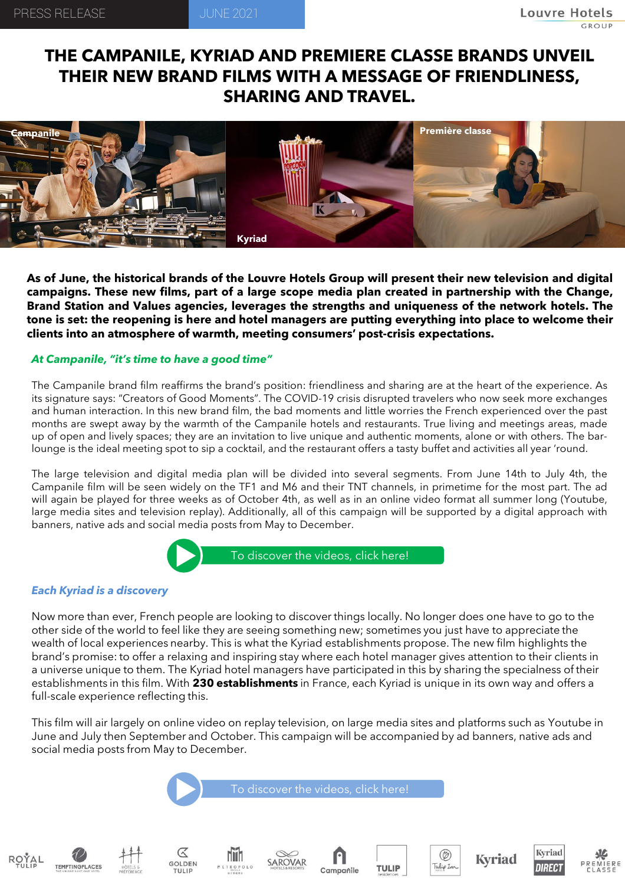## **THE CAMPANILE, KYRIAD AND PREMIERE CLASSE BRANDS UNVEIL THEIR NEW BRAND FILMS WITH A MESSAGE OF FRIENDLINESS, SHARING AND TRAVEL.**



As of June, the historical brands of the Louvre Hotels Group will present their new television and digital **campaigns. These new films, part of a large scope media plan created in partnership with the Change, Brand Station and Values agencies, leverages the strengths and uniqueness of the network hotels. The** tone is set: the reopening is here and hotel managers are putting everything into place to welcome their **clients into an atmosphere of warmth, meeting consumers' post-crisis expectations.**

## *At Campanile, "it's time to have a good time"*

The Campanile brand film reaffirms the brand's position: friendliness and sharing are at the heart of the experience. As its signature says: "Creators of Good Moments". The COVID-19 crisis disrupted travelers who now seek more exchanges and human interaction. In this new brand film, the bad moments and little worries the French experienced over the past months are swept away by the warmth of the Campanile hotels and restaurants. True living and meetings areas, made up of open and lively spaces; they are an invitation to live unique and authentic moments, alone or with others. The barlounge is the ideal meeting spot to sip a cocktail, and the restaurant offers a tasty buffet and activities all year 'round.

The large television and digital media plan will be divided into several segments. From June 14th to July 4th, the Campanile film will be seen widely on the TF1 and M6 and their TNT channels, in primetime for the most part. The ad will again be played for three weeks as of October 4th, as well as in an online video format all summer long (Youtube, large media sites and television replay). Additionally, all of this campaign will be supported by a digital approach with banners, native ads and social media posts from May to December.



## *Each Kyriad is a discovery*

Now more than ever, French people are looking to discover things locally. No longer does one have to go to the other side of the world to feel like they are seeing something new; sometimes you just have to appreciate the wealth of local experiences nearby. This is what the Kyriad establishments propose. The new film highlights the brand's promise: to offer a relaxing and inspiring stay where each hotel manager gives attention to their clients in a universe unique to them. The Kyriad hotel managers have participated in this by sharing the specialness of their establishments in this film. With **230 establishments** in France, each Kyriad is unique in its own way and offers a full-scale experience reflecting this.

This film will air largely on online video on replay television, on large media sites and platforms such as Youtube in June and July then September and October. This campaign will be accompanied by ad banners, native ads and social media posts from May to December.